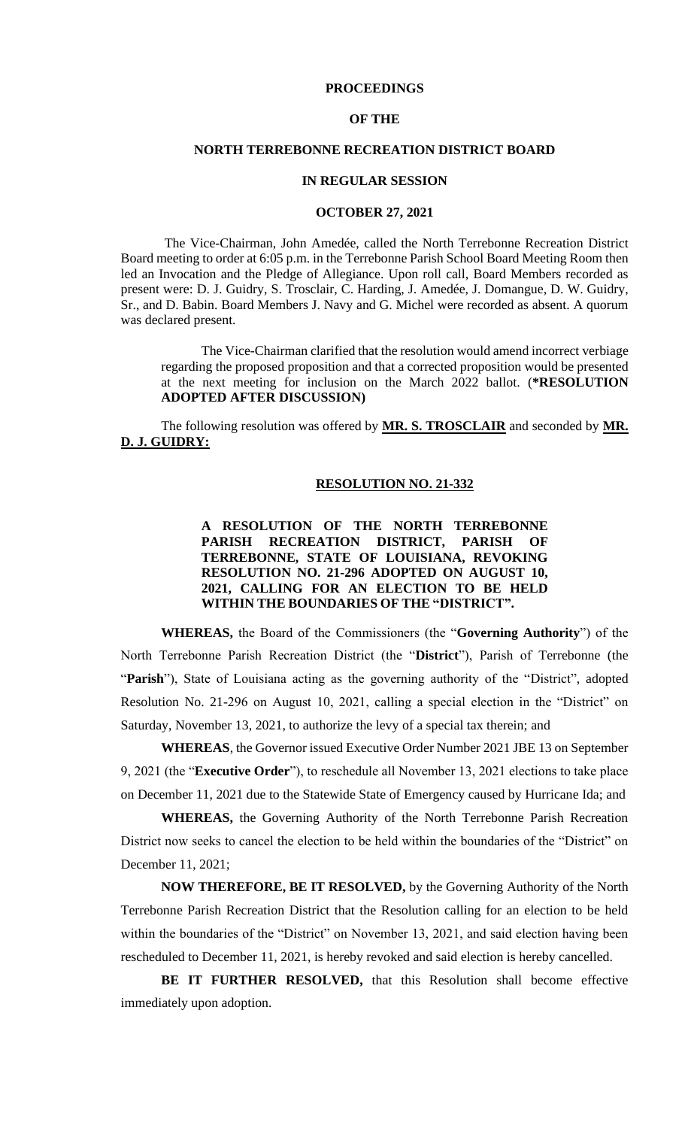### **PROCEEDINGS**

### **OF THE**

### **NORTH TERREBONNE RECREATION DISTRICT BOARD**

#### **IN REGULAR SESSION**

### **OCTOBER 27, 2021**

The Vice-Chairman, John Amedée, called the North Terrebonne Recreation District Board meeting to order at 6:05 p.m. in the Terrebonne Parish School Board Meeting Room then led an Invocation and the Pledge of Allegiance. Upon roll call, Board Members recorded as present were: D. J. Guidry, S. Trosclair, C. Harding, J. Amedée, J. Domangue, D. W. Guidry, Sr., and D. Babin. Board Members J. Navy and G. Michel were recorded as absent. A quorum was declared present.

The Vice-Chairman clarified that the resolution would amend incorrect verbiage regarding the proposed proposition and that a corrected proposition would be presented at the next meeting for inclusion on the March 2022 ballot. (**\*RESOLUTION ADOPTED AFTER DISCUSSION)**

The following resolution was offered by **MR. S. TROSCLAIR** and seconded by **MR. D. J. GUIDRY:**

### **RESOLUTION NO. 21-332**

## **A RESOLUTION OF THE NORTH TERREBONNE PARISH RECREATION DISTRICT, PARISH OF TERREBONNE, STATE OF LOUISIANA, REVOKING RESOLUTION NO. 21-296 ADOPTED ON AUGUST 10, 2021, CALLING FOR AN ELECTION TO BE HELD WITHIN THE BOUNDARIES OF THE "DISTRICT".**

**WHEREAS,** the Board of the Commissioners (the "**Governing Authority**") of the North Terrebonne Parish Recreation District (the "**District**"), Parish of Terrebonne (the "Parish"), State of Louisiana acting as the governing authority of the "District", adopted Resolution No. 21-296 on August 10, 2021, calling a special election in the "District" on Saturday, November 13, 2021, to authorize the levy of a special tax therein; and

**WHEREAS**, the Governor issued Executive Order Number 2021 JBE 13 on September 9, 2021 (the "**Executive Order**"), to reschedule all November 13, 2021 elections to take place on December 11, 2021 due to the Statewide State of Emergency caused by Hurricane Ida; and

**WHEREAS,** the Governing Authority of the North Terrebonne Parish Recreation District now seeks to cancel the election to be held within the boundaries of the "District" on December 11, 2021;

**NOW THEREFORE, BE IT RESOLVED,** by the Governing Authority of the North Terrebonne Parish Recreation District that the Resolution calling for an election to be held within the boundaries of the "District" on November 13, 2021, and said election having been rescheduled to December 11, 2021, is hereby revoked and said election is hereby cancelled.

**BE IT FURTHER RESOLVED,** that this Resolution shall become effective immediately upon adoption.